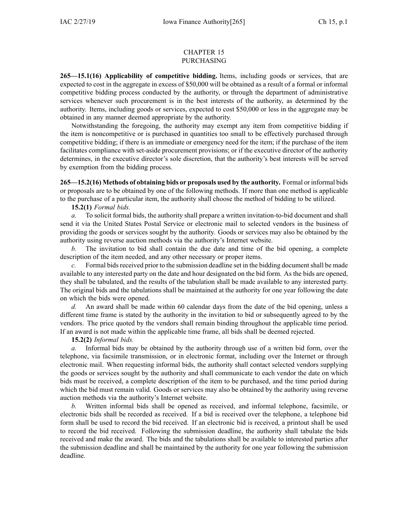## CHAPTER 15 PURCHASING

**265—15.1(16) Applicability of competitive bidding.** Items, including goods or services, that are expected to cost in the aggregate in excess of \$50,000 will be obtained as <sup>a</sup> result of <sup>a</sup> formal or informal competitive bidding process conducted by the authority, or through the department of administrative services whenever such procuremen<sup>t</sup> is in the best interests of the authority, as determined by the authority. Items, including goods or services, expected to cost \$50,000 or less in the aggregate may be obtained in any manner deemed appropriate by the authority.

Notwithstanding the foregoing, the authority may exemp<sup>t</sup> any item from competitive bidding if the item is noncompetitive or is purchased in quantities too small to be effectively purchased through competitive bidding; if there is an immediate or emergency need for the item; if the purchase of the item facilitates compliance with set-aside procuremen<sup>t</sup> provisions; or if the executive director of the authority determines, in the executive director's sole discretion, that the authority's best interests will be served by exemption from the bidding process.

**265—15.2(16) Methods of obtaining bids or proposals used by the authority.** Formal or informal bids or proposals are to be obtained by one of the following methods. If more than one method is applicable to the purchase of <sup>a</sup> particular item, the authority shall choose the method of bidding to be utilized.

**15.2(1)** *Formal bids.*

*a.* To solicit formal bids, the authority shall prepare <sup>a</sup> written invitation-to-bid document and shall send it via the United States Postal Service or electronic mail to selected vendors in the business of providing the goods or services sought by the authority. Goods or services may also be obtained by the authority using reverse auction methods via the authority's Internet website.

The invitation to bid shall contain the due date and time of the bid opening, a complete description of the item needed, and any other necessary or proper items.

*c.* Formal bids received prior to the submission deadline set in the bidding document shall be made available to any interested party on the date and hour designated on the bid form. As the bids are opened, they shall be tabulated, and the results of the tabulation shall be made available to any interested party. The original bids and the tabulations shall be maintained at the authority for one year following the date on which the bids were opened.

*d.* An award shall be made within 60 calendar days from the date of the bid opening, unless <sup>a</sup> different time frame is stated by the authority in the invitation to bid or subsequently agreed to by the vendors. The price quoted by the vendors shall remain binding throughout the applicable time period. If an award is not made within the applicable time frame, all bids shall be deemed rejected.

**15.2(2)** *Informal bids.*

*a.* Informal bids may be obtained by the authority through use of <sup>a</sup> written bid form, over the telephone, via facsimile transmission, or in electronic format, including over the Internet or through electronic mail. When requesting informal bids, the authority shall contact selected vendors supplying the goods or services sought by the authority and shall communicate to each vendor the date on which bids must be received, <sup>a</sup> complete description of the item to be purchased, and the time period during which the bid must remain valid. Goods or services may also be obtained by the authority using reverse auction methods via the authority's Internet website.

*b.* Written informal bids shall be opened as received, and informal telephone, facsimile, or electronic bids shall be recorded as received. If <sup>a</sup> bid is received over the telephone, <sup>a</sup> telephone bid form shall be used to record the bid received. If an electronic bid is received, <sup>a</sup> printout shall be used to record the bid received. Following the submission deadline, the authority shall tabulate the bids received and make the award. The bids and the tabulations shall be available to interested parties after the submission deadline and shall be maintained by the authority for one year following the submission deadline.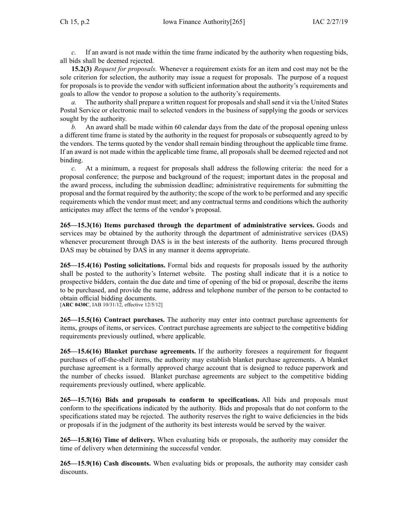*c.* If an award is not made within the time frame indicated by the authority when requesting bids, all bids shall be deemed rejected.

**15.2(3)** *Request for proposals.* Whenever <sup>a</sup> requirement exists for an item and cost may not be the sole criterion for selection, the authority may issue <sup>a</sup> reques<sup>t</sup> for proposals. The purpose of <sup>a</sup> reques<sup>t</sup> for proposals is to provide the vendor with sufficient information about the authority's requirements and goals to allow the vendor to propose <sup>a</sup> solution to the authority's requirements.

*a.* The authority shall prepare <sup>a</sup> written reques<sup>t</sup> for proposals and shall send it via the United States Postal Service or electronic mail to selected vendors in the business of supplying the goods or services sought by the authority.

*b.* An award shall be made within 60 calendar days from the date of the proposal opening unless <sup>a</sup> different time frame is stated by the authority in the reques<sup>t</sup> for proposals or subsequently agreed to by the vendors. The terms quoted by the vendor shall remain binding throughout the applicable time frame. If an award is not made within the applicable time frame, all proposals shall be deemed rejected and not binding.

*c.* At <sup>a</sup> minimum, <sup>a</sup> reques<sup>t</sup> for proposals shall address the following criteria: the need for <sup>a</sup> proposal conference; the purpose and background of the request; important dates in the proposal and the award process, including the submission deadline; administrative requirements for submitting the proposal and the format required by the authority; the scope of the work to be performed and any specific requirements which the vendor must meet; and any contractual terms and conditions which the authority anticipates may affect the terms of the vendor's proposal.

**265—15.3(16) Items purchased through the department of administrative services.** Goods and services may be obtained by the authority through the department of administrative services (DAS) whenever procuremen<sup>t</sup> through DAS is in the best interests of the authority. Items procured through DAS may be obtained by DAS in any manner it deems appropriate.

**265—15.4(16) Posting solicitations.** Formal bids and requests for proposals issued by the authority shall be posted to the authority's Internet website. The posting shall indicate that it is <sup>a</sup> notice to prospective bidders, contain the due date and time of opening of the bid or proposal, describe the items to be purchased, and provide the name, address and telephone number of the person to be contacted to obtain official bidding documents.

[**ARC [0430C](https://www.legis.iowa.gov/docs/aco/arc/0430C.pdf)**, IAB 10/31/12, effective 12/5/12]

**265—15.5(16) Contract purchases.** The authority may enter into contract purchase agreements for items, groups of items, or services. Contract purchase agreements are subject to the competitive bidding requirements previously outlined, where applicable.

**265—15.6(16) Blanket purchase agreements.** If the authority foresees <sup>a</sup> requirement for frequent purchases of off-the-shelf items, the authority may establish blanket purchase agreements. A blanket purchase agreemen<sup>t</sup> is <sup>a</sup> formally approved charge account that is designed to reduce paperwork and the number of checks issued. Blanket purchase agreements are subject to the competitive bidding requirements previously outlined, where applicable.

**265—15.7(16) Bids and proposals to conform to specifications.** All bids and proposals must conform to the specifications indicated by the authority. Bids and proposals that do not conform to the specifications stated may be rejected. The authority reserves the right to waive deficiencies in the bids or proposals if in the judgment of the authority its best interests would be served by the waiver.

**265—15.8(16) Time of delivery.** When evaluating bids or proposals, the authority may consider the time of delivery when determining the successful vendor.

**265—15.9(16) Cash discounts.** When evaluating bids or proposals, the authority may consider cash discounts.